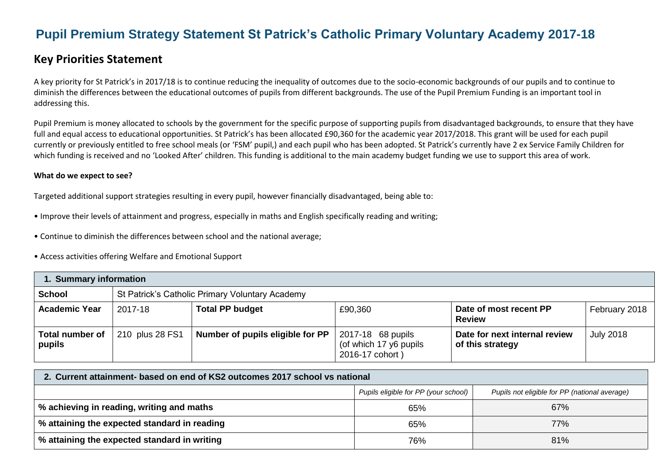# **Pupil Premium Strategy Statement St Patrick's Catholic Primary Voluntary Academy 2017-18**

# **Key Priorities Statement**

A key priority for St Patrick's in 2017/18 is to continue reducing the inequality of outcomes due to the socio-economic backgrounds of our pupils and to continue to diminish the differences between the educational outcomes of pupils from different backgrounds. The use of the Pupil Premium Funding is an important tool in addressing this.

Pupil Premium is money allocated to schools by the government for the specific purpose of supporting pupils from disadvantaged backgrounds, to ensure that they have full and equal access to educational opportunities. St Patrick's has been allocated £90,360 for the academic year 2017/2018. This grant will be used for each pupil currently or previously entitled to free school meals (or 'FSM' pupil,) and each pupil who has been adopted. St Patrick's currently have 2 ex Service Family Children for which funding is received and no 'Looked After' children. This funding is additional to the main academy budget funding we use to support this area of work.

#### **What do we expect to see?**

Targeted additional support strategies resulting in every pupil, however financially disadvantaged, being able to:

- Improve their levels of attainment and progress, especially in maths and English specifically reading and writing;
- Continue to diminish the differences between school and the national average;
- Access activities offering Welfare and Emotional Support

| 1. Summary information           |                 |                                                 |                                                                |                                                   |                  |  |
|----------------------------------|-----------------|-------------------------------------------------|----------------------------------------------------------------|---------------------------------------------------|------------------|--|
| <b>School</b>                    |                 | St Patrick's Catholic Primary Voluntary Academy |                                                                |                                                   |                  |  |
| <b>Academic Year</b>             | 2017-18         | <b>Total PP budget</b>                          | £90,360                                                        | Date of most recent PP<br><b>Review</b>           | February 2018    |  |
| <b>Total number of</b><br>pupils | 210 plus 28 FS1 | Number of pupils eligible for PP                | 2017-18 68 pupils<br>(of which 17 y6 pupils<br>2016-17 cohort) | Date for next internal review<br>of this strategy | <b>July 2018</b> |  |

| 2. Current attainment- based on end of KS2 outcomes 2017 school vs national           |     |     |  |  |  |
|---------------------------------------------------------------------------------------|-----|-----|--|--|--|
| Pupils eligible for PP (your school)<br>Pupils not eligible for PP (national average) |     |     |  |  |  |
| % achieving in reading, writing and maths                                             | 65% | 67% |  |  |  |
| % attaining the expected standard in reading                                          | 65% | 77% |  |  |  |
| % attaining the expected standard in writing                                          | 76% | 81% |  |  |  |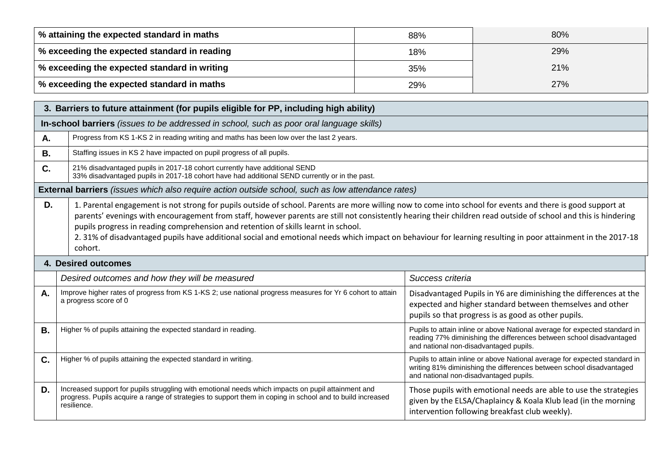| │ % attaining the expected standard in maths   | 88% | 80%        |
|------------------------------------------------|-----|------------|
| % exceeding the expected standard in reading   | 18% | 29%        |
| │ % exceeding the expected standard in writing | 35% | 21%        |
| │ % exceeding the expected standard in maths   | 29% | <b>27%</b> |

|           | 3. Barriers to future attainment (for pupils eligible for PP, including high ability)                                                                                                                                                                                                                                                                                                                                                                                                                                                                                                           |                                                                                                                                                                                              |  |  |  |  |
|-----------|-------------------------------------------------------------------------------------------------------------------------------------------------------------------------------------------------------------------------------------------------------------------------------------------------------------------------------------------------------------------------------------------------------------------------------------------------------------------------------------------------------------------------------------------------------------------------------------------------|----------------------------------------------------------------------------------------------------------------------------------------------------------------------------------------------|--|--|--|--|
|           | In-school barriers (issues to be addressed in school, such as poor oral language skills)                                                                                                                                                                                                                                                                                                                                                                                                                                                                                                        |                                                                                                                                                                                              |  |  |  |  |
| Α.        | Progress from KS 1-KS 2 in reading writing and maths has been low over the last 2 years.                                                                                                                                                                                                                                                                                                                                                                                                                                                                                                        |                                                                                                                                                                                              |  |  |  |  |
| <b>B.</b> | Staffing issues in KS 2 have impacted on pupil progress of all pupils.                                                                                                                                                                                                                                                                                                                                                                                                                                                                                                                          |                                                                                                                                                                                              |  |  |  |  |
| C.        | 21% disadvantaged pupils in 2017-18 cohort currently have additional SEND<br>33% disadvantaged pupils in 2017-18 cohort have had additional SEND currently or in the past.                                                                                                                                                                                                                                                                                                                                                                                                                      |                                                                                                                                                                                              |  |  |  |  |
|           | <b>External barriers</b> (issues which also require action outside school, such as low attendance rates)                                                                                                                                                                                                                                                                                                                                                                                                                                                                                        |                                                                                                                                                                                              |  |  |  |  |
| D.        | 1. Parental engagement is not strong for pupils outside of school. Parents are more willing now to come into school for events and there is good support at<br>parents' evenings with encouragement from staff, however parents are still not consistently hearing their children read outside of school and this is hindering<br>pupils progress in reading comprehension and retention of skills learnt in school.<br>2. 31% of disadvantaged pupils have additional social and emotional needs which impact on behaviour for learning resulting in poor attainment in the 2017-18<br>cohort. |                                                                                                                                                                                              |  |  |  |  |
|           | <b>4. Desired outcomes</b>                                                                                                                                                                                                                                                                                                                                                                                                                                                                                                                                                                      |                                                                                                                                                                                              |  |  |  |  |
|           | Desired outcomes and how they will be measured                                                                                                                                                                                                                                                                                                                                                                                                                                                                                                                                                  | Success criteria                                                                                                                                                                             |  |  |  |  |
| Α.        | Improve higher rates of progress from KS 1-KS 2; use national progress measures for Yr 6 cohort to attain<br>a progress score of 0                                                                                                                                                                                                                                                                                                                                                                                                                                                              | Disadvantaged Pupils in Y6 are diminishing the differences at the<br>expected and higher standard between themselves and other<br>pupils so that progress is as good as other pupils.        |  |  |  |  |
| В.        | Higher % of pupils attaining the expected standard in reading.                                                                                                                                                                                                                                                                                                                                                                                                                                                                                                                                  | Pupils to attain inline or above National average for expected standard in<br>reading 77% diminishing the differences between school disadvantaged<br>and national non-disadvantaged pupils. |  |  |  |  |
| C.        | Higher % of pupils attaining the expected standard in writing.<br>Pupils to attain inline or above National average for expected standard in<br>writing 81% diminishing the differences between school disadvantaged<br>and national non-disadvantaged pupils.                                                                                                                                                                                                                                                                                                                                  |                                                                                                                                                                                              |  |  |  |  |
| D.        | Increased support for pupils struggling with emotional needs which impacts on pupil attainment and<br>progress. Pupils acquire a range of strategies to support them in coping in school and to build increased<br>resilience.                                                                                                                                                                                                                                                                                                                                                                  | Those pupils with emotional needs are able to use the strategies<br>given by the ELSA/Chaplaincy & Koala Klub lead (in the morning                                                           |  |  |  |  |

intervention following breakfast club weekly).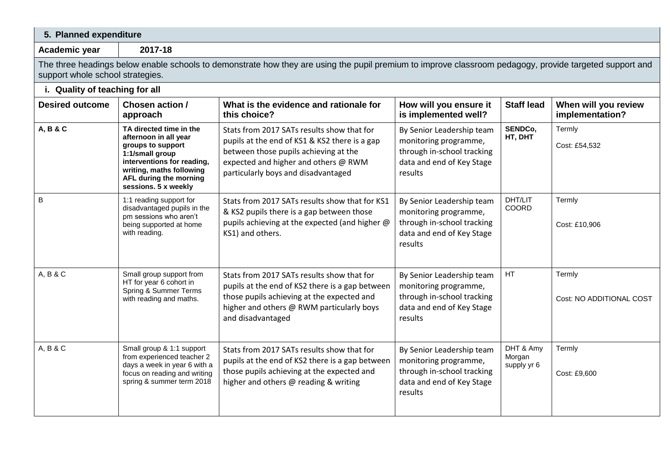| 5. Planned expenditure           |                                                                                                                                                                                                      |                                                                                                                                                                                                                     |                                                                                                                          |                                    |                                         |
|----------------------------------|------------------------------------------------------------------------------------------------------------------------------------------------------------------------------------------------------|---------------------------------------------------------------------------------------------------------------------------------------------------------------------------------------------------------------------|--------------------------------------------------------------------------------------------------------------------------|------------------------------------|-----------------------------------------|
| Academic year                    | 2017-18                                                                                                                                                                                              |                                                                                                                                                                                                                     |                                                                                                                          |                                    |                                         |
| support whole school strategies. |                                                                                                                                                                                                      | The three headings below enable schools to demonstrate how they are using the pupil premium to improve classroom pedagogy, provide targeted support and                                                             |                                                                                                                          |                                    |                                         |
| i. Quality of teaching for all   |                                                                                                                                                                                                      |                                                                                                                                                                                                                     |                                                                                                                          |                                    |                                         |
| <b>Desired outcome</b>           | <b>Chosen action /</b><br>approach                                                                                                                                                                   | What is the evidence and rationale for<br>this choice?                                                                                                                                                              | How will you ensure it<br>is implemented well?                                                                           | <b>Staff lead</b>                  | When will you review<br>implementation? |
| A, B & C                         | TA directed time in the<br>afternoon in all year<br>groups to support<br>1:1/small group<br>interventions for reading,<br>writing, maths following<br>AFL during the morning<br>sessions. 5 x weekly | Stats from 2017 SATs results show that for<br>pupils at the end of KS1 & KS2 there is a gap<br>between those pupils achieving at the<br>expected and higher and others @ RWM<br>particularly boys and disadvantaged | By Senior Leadership team<br>monitoring programme,<br>through in-school tracking<br>data and end of Key Stage<br>results | SENDCo,<br>HT, DHT                 | Termly<br>Cost: £54,532                 |
| B                                | 1:1 reading support for<br>disadvantaged pupils in the<br>pm sessions who aren't<br>being supported at home<br>with reading.                                                                         | Stats from 2017 SATs results show that for KS1<br>& KS2 pupils there is a gap between those<br>pupils achieving at the expected (and higher @<br>KS1) and others.                                                   | By Senior Leadership team<br>monitoring programme,<br>through in-school tracking<br>data and end of Key Stage<br>results | DHT/LIT<br>COORD                   | Termly<br>Cost: £10,906                 |
| A, B & C                         | Small group support from<br>HT for year 6 cohort in<br>Spring & Summer Terms<br>with reading and maths.                                                                                              | Stats from 2017 SATs results show that for<br>pupils at the end of KS2 there is a gap between<br>those pupils achieving at the expected and<br>higher and others @ RWM particularly boys<br>and disadvantaged       | By Senior Leadership team<br>monitoring programme,<br>through in-school tracking<br>data and end of Key Stage<br>results | HT                                 | Termly<br>Cost: NO ADDITIONAL COST      |
| A, B & C                         | Small group & 1:1 support<br>from experienced teacher 2<br>days a week in year 6 with a<br>focus on reading and writing<br>spring & summer term 2018                                                 | Stats from 2017 SATs results show that for<br>pupils at the end of KS2 there is a gap between<br>those pupils achieving at the expected and<br>higher and others @ reading & writing                                | By Senior Leadership team<br>monitoring programme,<br>through in-school tracking<br>data and end of Key Stage<br>results | DHT & Amy<br>Morgan<br>supply yr 6 | Termly<br>Cost: £9,600                  |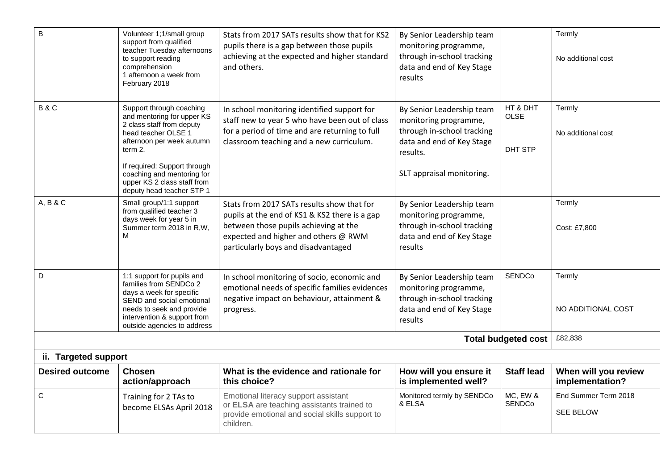| C                      | Training for 2 TAs to<br>become ELSAs April 2018                                                                                                                                                                                                                             | Emotional literacy support assistant<br>or ELSA are teaching assistants trained to<br>provide emotional and social skills support to<br>children.                                                                   | Monitored termly by SENDCo<br>& ELSA                                                                                                                   | MC, EW &<br>SENDCo                 | End Summer Term 2018<br><b>SEE BELOW</b> |
|------------------------|------------------------------------------------------------------------------------------------------------------------------------------------------------------------------------------------------------------------------------------------------------------------------|---------------------------------------------------------------------------------------------------------------------------------------------------------------------------------------------------------------------|--------------------------------------------------------------------------------------------------------------------------------------------------------|------------------------------------|------------------------------------------|
| <b>Desired outcome</b> | <b>Chosen</b><br>action/approach                                                                                                                                                                                                                                             | What is the evidence and rationale for<br>this choice?                                                                                                                                                              | How will you ensure it<br>is implemented well?                                                                                                         | <b>Staff lead</b>                  | When will you review<br>implementation?  |
| ii. Targeted support   |                                                                                                                                                                                                                                                                              |                                                                                                                                                                                                                     |                                                                                                                                                        |                                    |                                          |
|                        |                                                                                                                                                                                                                                                                              |                                                                                                                                                                                                                     |                                                                                                                                                        | <b>Total budgeted cost</b>         | £82,838                                  |
| D                      | 1:1 support for pupils and<br>families from SENDCo 2<br>days a week for specific<br>SEND and social emotional<br>needs to seek and provide<br>intervention & support from<br>outside agencies to address                                                                     | In school monitoring of socio, economic and<br>emotional needs of specific families evidences<br>negative impact on behaviour, attainment &<br>progress.                                                            | By Senior Leadership team<br>monitoring programme,<br>through in-school tracking<br>data and end of Key Stage<br>results                               | SENDCo                             | Termly<br>NO ADDITIONAL COST             |
| A, B & C               | Small group/1:1 support<br>from qualified teacher 3<br>days week for year 5 in<br>Summer term 2018 in R,W,<br>м                                                                                                                                                              | Stats from 2017 SATs results show that for<br>pupils at the end of KS1 & KS2 there is a gap<br>between those pupils achieving at the<br>expected and higher and others @ RWM<br>particularly boys and disadvantaged | By Senior Leadership team<br>monitoring programme,<br>through in-school tracking<br>data and end of Key Stage<br>results                               |                                    | Termly<br>Cost: £7,800                   |
| <b>B&amp;C</b>         | Support through coaching<br>and mentoring for upper KS<br>2 class staff from deputy<br>head teacher OLSE 1<br>afternoon per week autumn<br>term 2.<br>If required: Support through<br>coaching and mentoring for<br>upper KS 2 class staff from<br>deputy head teacher STP 1 | In school monitoring identified support for<br>staff new to year 5 who have been out of class<br>for a period of time and are returning to full<br>classroom teaching and a new curriculum.                         | By Senior Leadership team<br>monitoring programme,<br>through in-school tracking<br>data and end of Key Stage<br>results.<br>SLT appraisal monitoring. | HT & DHT<br><b>OLSE</b><br>DHT STP | Termly<br>No additional cost             |
| B                      | Volunteer 1;1/small group<br>support from qualified<br>teacher Tuesday afternoons<br>to support reading<br>comprehension<br>1 afternoon a week from<br>February 2018                                                                                                         | Stats from 2017 SATs results show that for KS2<br>pupils there is a gap between those pupils<br>achieving at the expected and higher standard<br>and others.                                                        | By Senior Leadership team<br>monitoring programme,<br>through in-school tracking<br>data and end of Key Stage<br>results                               |                                    | Termly<br>No additional cost             |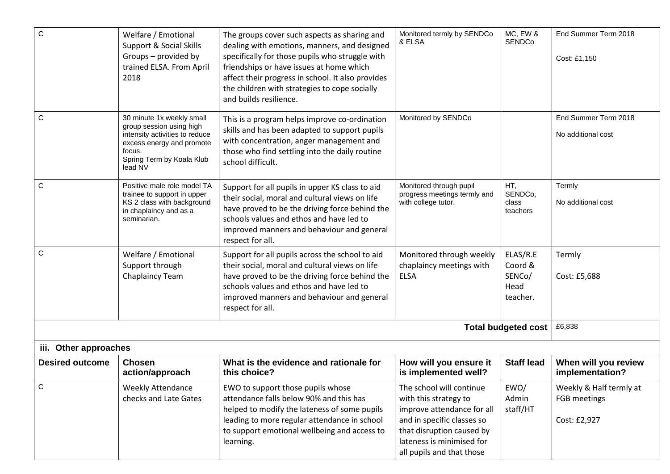| $\mathsf{C}$           | Welfare / Emotional<br>Support & Social Skills<br>Groups - provided by<br>trained ELSA. From April<br>2018                                                             | The groups cover such aspects as sharing and<br>dealing with emotions, manners, and designed<br>specifically for those pupils who struggle with<br>friendships or have issues at home which<br>affect their progress in school. It also provides<br>the children with strategies to cope socially<br>and builds resilience. | Monitored termly by SENDCo<br>& ELSA                                                                                                                                                                 | MC, EW &<br><b>SENDCo</b>                         | End Summer Term 2018<br>Cost: £1,150                    |
|------------------------|------------------------------------------------------------------------------------------------------------------------------------------------------------------------|-----------------------------------------------------------------------------------------------------------------------------------------------------------------------------------------------------------------------------------------------------------------------------------------------------------------------------|------------------------------------------------------------------------------------------------------------------------------------------------------------------------------------------------------|---------------------------------------------------|---------------------------------------------------------|
| C                      | 30 minute 1x weekly small<br>group session using high<br>intensity activities to reduce<br>excess energy and promote<br>focus.<br>Spring Term by Koala Klub<br>lead NV | This is a program helps improve co-ordination<br>skills and has been adapted to support pupils<br>with concentration, anger management and<br>those who find settling into the daily routine<br>school difficult.                                                                                                           | Monitored by SENDCo                                                                                                                                                                                  |                                                   | End Summer Term 2018<br>No additional cost              |
| C                      | Positive male role model TA<br>trainee to support in upper<br>KS 2 class with background<br>in chaplaincy and as a<br>seminarian.                                      | Support for all pupils in upper KS class to aid<br>their social, moral and cultural views on life<br>have proved to be the driving force behind the<br>schools values and ethos and have led to<br>improved manners and behaviour and general<br>respect for all.                                                           | Monitored through pupil<br>progress meetings termly and<br>with college tutor.                                                                                                                       | HT,<br>SENDCo,<br>class<br>teachers               | Termly<br>No additional cost                            |
| $\mathsf{C}$           | Welfare / Emotional<br>Support through<br>Chaplaincy Team                                                                                                              | Support for all pupils across the school to aid<br>their social, moral and cultural views on life<br>have proved to be the driving force behind the<br>schools values and ethos and have led to<br>improved manners and behaviour and general<br>respect for all.                                                           | Monitored through weekly<br>chaplaincy meetings with<br><b>ELSA</b>                                                                                                                                  | ELAS/R.E<br>Coord &<br>SENCo/<br>Head<br>teacher. | Termly<br>Cost: £5,688                                  |
|                        |                                                                                                                                                                        |                                                                                                                                                                                                                                                                                                                             |                                                                                                                                                                                                      | <b>Total budgeted cost</b>                        | £6,838                                                  |
| iii. Other approaches  |                                                                                                                                                                        |                                                                                                                                                                                                                                                                                                                             |                                                                                                                                                                                                      |                                                   |                                                         |
| <b>Desired outcome</b> | <b>Chosen</b><br>action/approach                                                                                                                                       | What is the evidence and rationale for<br>this choice?                                                                                                                                                                                                                                                                      | How will you ensure it<br>is implemented well?                                                                                                                                                       | <b>Staff lead</b>                                 | When will you review<br>implementation?                 |
| C                      | <b>Weekly Attendance</b><br>checks and Late Gates                                                                                                                      | EWO to support those pupils whose<br>attendance falls below 90% and this has<br>helped to modify the lateness of some pupils<br>leading to more regular attendance in school<br>to support emotional wellbeing and access to<br>learning.                                                                                   | The school will continue<br>with this strategy to<br>improve attendance for all<br>and in specific classes so<br>that disruption caused by<br>lateness is minimised for<br>all pupils and that those | EWO/<br>Admin<br>staff/HT                         | Weekly & Half termly at<br>FGB meetings<br>Cost: £2,927 |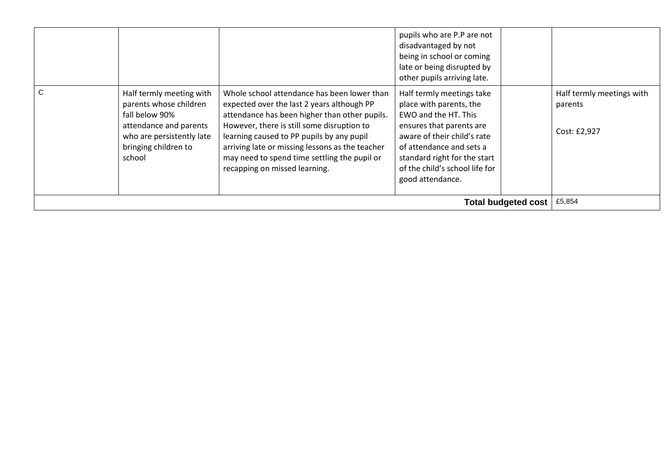|              |                                                                                                                                                               |                                                                                                                                                                                                                                                                                                                                                                           | pupils who are P.P are not<br>disadvantaged by not<br>being in school or coming<br>late or being disrupted by<br>other pupils arriving late.                                                                                                              |                                                      |
|--------------|---------------------------------------------------------------------------------------------------------------------------------------------------------------|---------------------------------------------------------------------------------------------------------------------------------------------------------------------------------------------------------------------------------------------------------------------------------------------------------------------------------------------------------------------------|-----------------------------------------------------------------------------------------------------------------------------------------------------------------------------------------------------------------------------------------------------------|------------------------------------------------------|
| $\mathsf{C}$ | Half termly meeting with<br>parents whose children<br>fall below 90%<br>attendance and parents<br>who are persistently late<br>bringing children to<br>school | Whole school attendance has been lower than<br>expected over the last 2 years although PP<br>attendance has been higher than other pupils.<br>However, there is still some disruption to<br>learning caused to PP pupils by any pupil<br>arriving late or missing lessons as the teacher<br>may need to spend time settling the pupil or<br>recapping on missed learning. | Half termly meetings take<br>place with parents, the<br>EWO and the HT. This<br>ensures that parents are<br>aware of their child's rate<br>of attendance and sets a<br>standard right for the start<br>of the child's school life for<br>good attendance. | Half termly meetings with<br>parents<br>Cost: £2,927 |
|              | £5,854                                                                                                                                                        |                                                                                                                                                                                                                                                                                                                                                                           |                                                                                                                                                                                                                                                           |                                                      |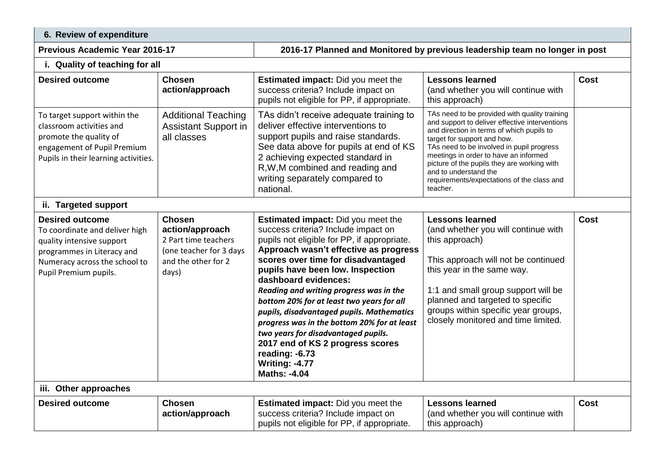## **6. Review of expenditure**

**Previous Academic Year 2016-17 2016-17 Planned and Monitored by previous leadership team no longer in post**

### **i. Quality of teaching for all**

| <b>Desired outcome</b>                                                                                                                                                        | <b>Chosen</b><br>action/approach                                                                                    | <b>Estimated impact:</b> Did you meet the<br>success criteria? Include impact on<br>pupils not eligible for PP, if appropriate.                                                                                                                                                                                                                                                                                                                                                                                                                                                                             | <b>Lessons learned</b><br>(and whether you will continue with<br>this approach)                                                                                                                                                                                                                                                                                                                     | Cost        |
|-------------------------------------------------------------------------------------------------------------------------------------------------------------------------------|---------------------------------------------------------------------------------------------------------------------|-------------------------------------------------------------------------------------------------------------------------------------------------------------------------------------------------------------------------------------------------------------------------------------------------------------------------------------------------------------------------------------------------------------------------------------------------------------------------------------------------------------------------------------------------------------------------------------------------------------|-----------------------------------------------------------------------------------------------------------------------------------------------------------------------------------------------------------------------------------------------------------------------------------------------------------------------------------------------------------------------------------------------------|-------------|
| To target support within the<br>classroom activities and<br>promote the quality of<br>engagement of Pupil Premium<br>Pupils in their learning activities.                     | <b>Additional Teaching</b><br><b>Assistant Support in</b><br>all classes                                            | TAs didn't receive adequate training to<br>deliver effective interventions to<br>support pupils and raise standards.<br>See data above for pupils at end of KS<br>2 achieving expected standard in<br>R, W, M combined and reading and<br>writing separately compared to<br>national.                                                                                                                                                                                                                                                                                                                       | TAs need to be provided with quality training<br>and support to deliver effective interventions<br>and direction in terms of which pupils to<br>target for support and how.<br>TAs need to be involved in pupil progress<br>meetings in order to have an informed<br>picture of the pupils they are working with<br>and to understand the<br>requirements/expectations of the class and<br>teacher. |             |
| ii. Targeted support                                                                                                                                                          |                                                                                                                     |                                                                                                                                                                                                                                                                                                                                                                                                                                                                                                                                                                                                             |                                                                                                                                                                                                                                                                                                                                                                                                     |             |
| <b>Desired outcome</b><br>To coordinate and deliver high<br>quality intensive support<br>programmes in Literacy and<br>Numeracy across the school to<br>Pupil Premium pupils. | <b>Chosen</b><br>action/approach<br>2 Part time teachers<br>(one teacher for 3 days<br>and the other for 2<br>days) | <b>Estimated impact:</b> Did you meet the<br>success criteria? Include impact on<br>pupils not eligible for PP, if appropriate.<br>Approach wasn't effective as progress<br>scores over time for disadvantaged<br>pupils have been low. Inspection<br>dashboard evidences:<br>Reading and writing progress was in the<br>bottom 20% for at least two years for all<br>pupils, disadvantaged pupils. Mathematics<br>progress was in the bottom 20% for at least<br>two years for disadvantaged pupils.<br>2017 end of KS 2 progress scores<br>reading: -6.73<br><b>Writing: -4.77</b><br><b>Maths: -4.04</b> | <b>Lessons learned</b><br>(and whether you will continue with<br>this approach)<br>This approach will not be continued<br>this year in the same way.<br>1:1 and small group support will be<br>planned and targeted to specific<br>groups within specific year groups,<br>closely monitored and time limited.                                                                                       | <b>Cost</b> |
| iii. Other approaches                                                                                                                                                         |                                                                                                                     |                                                                                                                                                                                                                                                                                                                                                                                                                                                                                                                                                                                                             |                                                                                                                                                                                                                                                                                                                                                                                                     |             |
| <b>Desired outcome</b>                                                                                                                                                        | <b>Chosen</b><br>action/approach                                                                                    | <b>Estimated impact:</b> Did you meet the<br>success criteria? Include impact on<br>pupils not eligible for PP, if appropriate.                                                                                                                                                                                                                                                                                                                                                                                                                                                                             | <b>Lessons learned</b><br>(and whether you will continue with<br>this approach)                                                                                                                                                                                                                                                                                                                     | <b>Cost</b> |